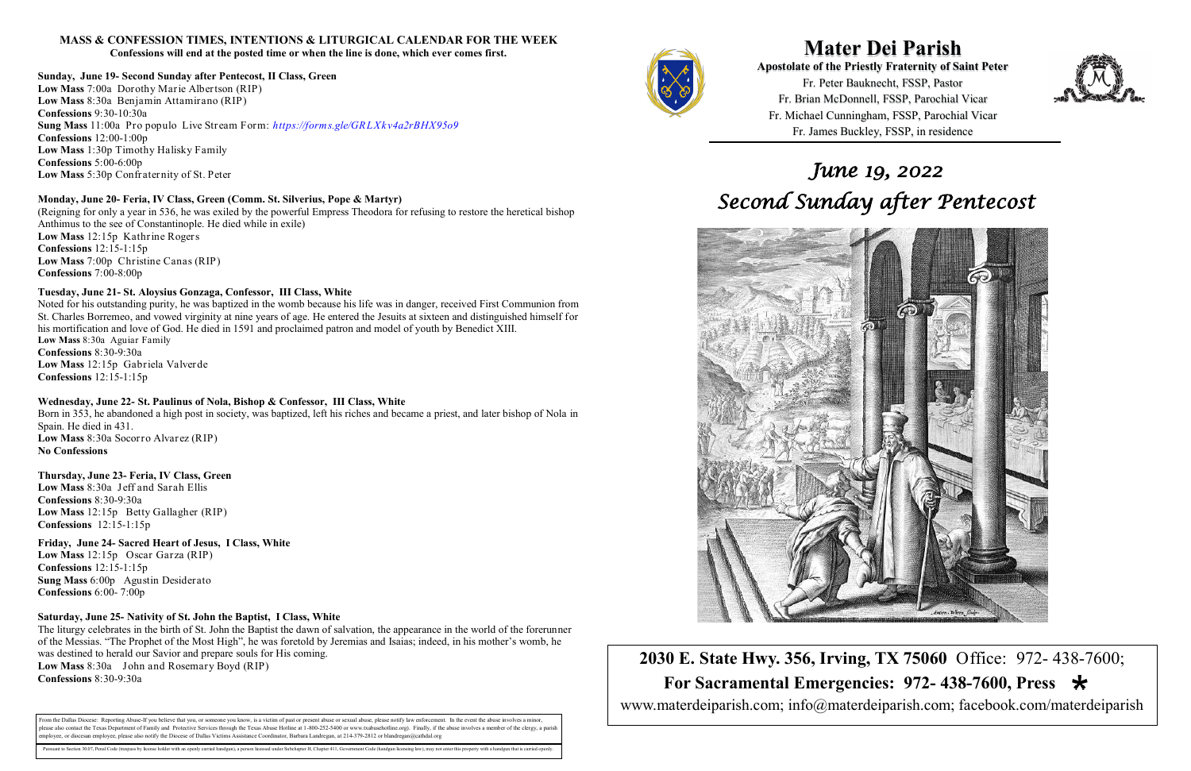**Mater Dei Parish Apostolate of the Priestly Fraternity of Saint Peter**  Fr. Peter Bauknecht, FSSP, Pastor Fr. Brian McDonnell, FSSP, Parochial Vicar Fr. Michael Cunningham, FSSP, Parochial Vicar Fr. James Buckley, FSSP, in residence

 **For Sacramental Emergencies: 972- 438-7600, Press** 

**2030 E. State Hwy. 356, Irving, TX 75060** Office: 972- 438-7600; www.materdeiparish.com; info@materdeiparish.com; facebook.com/materdeiparish



# **MASS & CONFESSION TIMES, INTENTIONS & LITURGICAL CALENDAR FOR THE WEEK**

**Confessions will end at the posted time or when the line is done, which ever comes first.**

#### **Sunday, June 19- Second Sunday after Pentecost, II Class, Green**

**Low Mass** 7:00a Dorothy Marie Albertson (RIP) **Low Mass** 8:30a Benjamin Attamirano (RIP) **Confessions** 9:30-10:30a **Sung Mass** 11:00a Pro populo Live Stream Form: *https://forms.gle/GRLXkv4a2rBHX95o9* **Confessions** 12:00-1:00p **Low Mass** 1:30p Timothy Halisky Family **Confessions** 5:00-6:00p **Low Mass** 5:30p Confraternity of St. Peter

#### **Monday, June 20- Feria, IV Class, Green (Comm. St. Silverius, Pope & Martyr)**

(Reigning for only a year in 536, he was exiled by the powerful Empress Theodora for refusing to restore the heretical bishop Anthimus to the see of Constantinople. He died while in exile) **Low Mass** 12:15p Kathrine Rogers **Confessions** 12:15-1:15p **Low Mass** 7:00p Christine Canas (RIP) **Confessions** 7:00-8:00p

### **Tuesday, June 21- St. Aloysius Gonzaga, Confessor, III Class, White**

Noted for his outstanding purity, he was baptized in the womb because his life was in danger, received First Communion from St. Charles Borremeo, and vowed virginity at nine years of age. He entered the Jesuits at sixteen and distinguished himself for his mortification and love of God. He died in 1591 and proclaimed patron and model of youth by Benedict XIII. **Low Mass** 8:30a Aguiar Family **Confessions** 8:30-9:30a **Low Mass** 12:15p Gabriela Valverde **Confessions** 12:15-1:15p

#### **Wednesday, June 22- St. Paulinus of Nola, Bishop & Confessor, III Class, White**

Born in 353, he abandoned a high post in society, was baptized, left his riches and became a priest, and later bishop of Nola in Spain. He died in 431. **Low Mass** 8:30a Socorro Alvarez (RIP)

#### **No Confessions**

#### **Thursday, June 23- Feria, IV Class, Green**

**Low Mass** 8:30a Jeff and Sarah Ellis **Confessions** 8:30-9:30a **Low Mass** 12:15p Betty Gallagher (RIP) **Confessions** 12:15-1:15p

### **Friday, June 24- Sacred Heart of Jesus, I Class, White**

**Low Mass** 12:15p Oscar Garza (RIP) **Confessions** 12:15-1:15p **Sung Mass** 6:00p Agustin Desiderato **Confessions** 6:00- 7:00p

#### **Saturday, June 25- Nativity of St. John the Baptist, I Class, White**

The liturgy celebrates in the birth of St. John the Baptist the dawn of salvation, the appearance in the world of the forerunner of the Messias. "The Prophet of the Most High", he was foretold by Jeremias and Isaias; indeed, in his mother's womb, he was destined to herald our Savior and prepare souls for His coming. **Low Mass** 8:30a John and Rosemary Boyd (RIP) **Confessions** 8:30-9:30a

From the Dallas Diocese: Reporting Abuse-If you believe that you, or someone you know, is a victim of past or present abuse or sexual abuse, please notify law enforcement. In the event the abuse involves a minor, blease also contact the Texas Department of Family and Protective Services through the Texas Abuse Hotline at 1-800-252-5400 or www.txabusehotline.org). Finally, if the abuse involves a member of the clergy, a paris employee, or diocesan employee, please also notify the Diocese of Dallas Victims Assistance Coordinator, Barbara Landregan, at 214-379-2812 or blandregan@cathdal.org

Pursuant to Section 30.07, Penal Code (trespass by license holder with an openly carried handgun), a person licensed under Subchapter H, Chapter 411, Government Code (handgun licensing law), may not enter this property wit



# *June 19, 2022 Second Sunday after Pentecost*